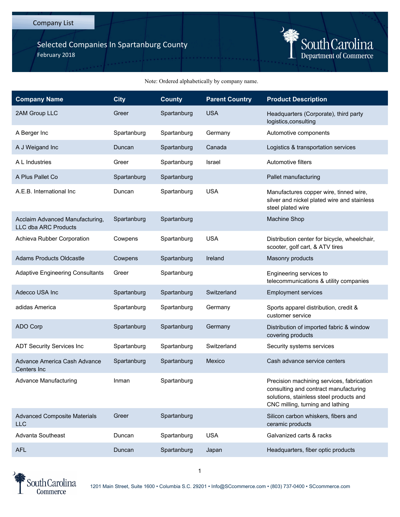## Company List

Selected Companies In Spartanburg County February 2018



## Note: Ordered alphabetically by company name.

| <b>Company Name</b>                                     | <b>City</b> | <b>County</b> | <b>Parent Country</b> | <b>Product Description</b>                                                                                                                                        |
|---------------------------------------------------------|-------------|---------------|-----------------------|-------------------------------------------------------------------------------------------------------------------------------------------------------------------|
| 2AM Group LLC                                           | Greer       | Spartanburg   | <b>USA</b>            | Headquarters (Corporate), third party<br>logistics, consulting                                                                                                    |
| A Berger Inc                                            | Spartanburg | Spartanburg   | Germany               | Automotive components                                                                                                                                             |
| A J Weigand Inc                                         | Duncan      | Spartanburg   | Canada                | Logistics & transportation services                                                                                                                               |
| A L Industries                                          | Greer       | Spartanburg   | Israel                | Automotive filters                                                                                                                                                |
| A Plus Pallet Co                                        | Spartanburg | Spartanburg   |                       | Pallet manufacturing                                                                                                                                              |
| A.E.B. International Inc.                               | Duncan      | Spartanburg   | <b>USA</b>            | Manufactures copper wire, tinned wire,<br>silver and nickel plated wire and stainless<br>steel plated wire                                                        |
| Acclaim Advanced Manufacturing,<br>LLC dba ARC Products | Spartanburg | Spartanburg   |                       | Machine Shop                                                                                                                                                      |
| Achieva Rubber Corporation                              | Cowpens     | Spartanburg   | <b>USA</b>            | Distribution center for bicycle, wheelchair,<br>scooter, golf cart, & ATV tires                                                                                   |
| <b>Adams Products Oldcastle</b>                         | Cowpens     | Spartanburg   | Ireland               | Masonry products                                                                                                                                                  |
| <b>Adaptive Engineering Consultants</b>                 | Greer       | Spartanburg   |                       | Engineering services to<br>telecommunications & utility companies                                                                                                 |
| Adecco USA Inc                                          | Spartanburg | Spartanburg   | Switzerland           | <b>Employment services</b>                                                                                                                                        |
| adidas America                                          | Spartanburg | Spartanburg   | Germany               | Sports apparel distribution, credit &<br>customer service                                                                                                         |
| <b>ADO Corp</b>                                         | Spartanburg | Spartanburg   | Germany               | Distribution of imported fabric & window<br>covering products                                                                                                     |
| <b>ADT Security Services Inc</b>                        | Spartanburg | Spartanburg   | Switzerland           | Security systems services                                                                                                                                         |
| Advance America Cash Advance<br>Centers Inc             | Spartanburg | Spartanburg   | Mexico                | Cash advance service centers                                                                                                                                      |
| <b>Advance Manufacturing</b>                            | Inman       | Spartanburg   |                       | Precision machining services, fabrication<br>consulting and contract manufacturing<br>solutions, stainless steel products and<br>CNC milling, turning and lathing |
| <b>Advanced Composite Materials</b><br><b>LLC</b>       | Greer       | Spartanburg   |                       | Silicon carbon whiskers, fibers and<br>ceramic products                                                                                                           |
| <b>Advanta Southeast</b>                                | Duncan      | Spartanburg   | <b>USA</b>            | Galvanized carts & racks                                                                                                                                          |
| <b>AFL</b>                                              | Duncan      | Spartanburg   | Japan                 | Headquarters, fiber optic products                                                                                                                                |



1201 Main Street, Suite 1600 • Columbia S.C. 29201 • Info@SCcommerce.com • (803) 737-0400 • SCcommerce.com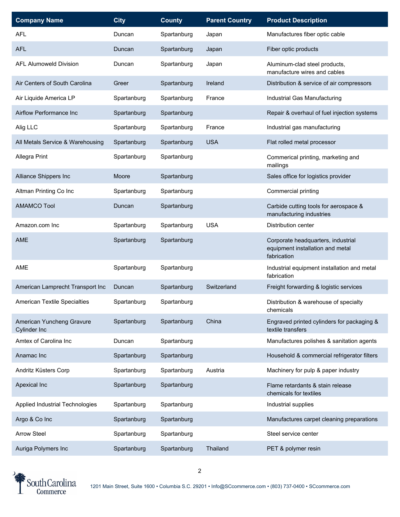| <b>Company Name</b>                       | <b>City</b> | <b>County</b> | <b>Parent Country</b> | <b>Product Description</b>                                                            |
|-------------------------------------------|-------------|---------------|-----------------------|---------------------------------------------------------------------------------------|
| <b>AFL</b>                                | Duncan      | Spartanburg   | Japan                 | Manufactures fiber optic cable                                                        |
| <b>AFL</b>                                | Duncan      | Spartanburg   | Japan                 | Fiber optic products                                                                  |
| <b>AFL Alumoweld Division</b>             | Duncan      | Spartanburg   | Japan                 | Aluminum-clad steel products,<br>manufacture wires and cables                         |
| Air Centers of South Carolina             | Greer       | Spartanburg   | Ireland               | Distribution & service of air compressors                                             |
| Air Liquide America LP                    | Spartanburg | Spartanburg   | France                | Industrial Gas Manufacturing                                                          |
| Airflow Performance Inc                   | Spartanburg | Spartanburg   |                       | Repair & overhaul of fuel injection systems                                           |
| Alig LLC                                  | Spartanburg | Spartanburg   | France                | Industrial gas manufacturing                                                          |
| All Metals Service & Warehousing          | Spartanburg | Spartanburg   | <b>USA</b>            | Flat rolled metal processor                                                           |
| Allegra Print                             | Spartanburg | Spartanburg   |                       | Commerical printing, marketing and<br>mailings                                        |
| Alliance Shippers Inc                     | Moore       | Spartanburg   |                       | Sales office for logistics provider                                                   |
| Altman Printing Co Inc                    | Spartanburg | Spartanburg   |                       | Commercial printing                                                                   |
| <b>AMAMCO Tool</b>                        | Duncan      | Spartanburg   |                       | Carbide cutting tools for aerospace &<br>manufacturing industries                     |
| Amazon.com Inc                            | Spartanburg | Spartanburg   | <b>USA</b>            | Distribution center                                                                   |
| <b>AME</b>                                | Spartanburg | Spartanburg   |                       | Corporate headquarters, industrial<br>equipment installation and metal<br>fabrication |
| <b>AME</b>                                | Spartanburg | Spartanburg   |                       | Industrial equipment installation and metal<br>fabrication                            |
| American Lamprecht Transport Inc          | Duncan      | Spartanburg   | Switzerland           | Freight forwarding & logistic services                                                |
| <b>American Textile Specialties</b>       | Spartanburg | Spartanburg   |                       | Distribution & warehouse of specialty<br>chemicals                                    |
| American Yuncheng Gravure<br>Cylinder Inc | Spartanburg | Spartanburg   | China                 | Engraved printed cylinders for packaging &<br>textile transfers                       |
| Amtex of Carolina Inc                     | Duncan      | Spartanburg   |                       | Manufactures polishes & sanitation agents                                             |
| Anamac Inc                                | Spartanburg | Spartanburg   |                       | Household & commercial refrigerator filters                                           |
| Andritz Küsters Corp                      | Spartanburg | Spartanburg   | Austria               | Machinery for pulp & paper industry                                                   |
| Apexical Inc                              | Spartanburg | Spartanburg   |                       | Flame retardants & stain release<br>chemicals for textiles                            |
| Applied Industrial Technologies           | Spartanburg | Spartanburg   |                       | Industrial supplies                                                                   |
| Argo & Co Inc                             | Spartanburg | Spartanburg   |                       | Manufactures carpet cleaning preparations                                             |
| <b>Arrow Steel</b>                        | Spartanburg | Spartanburg   |                       | Steel service center                                                                  |
| Auriga Polymers Inc                       | Spartanburg | Spartanburg   | Thailand              | PET & polymer resin                                                                   |

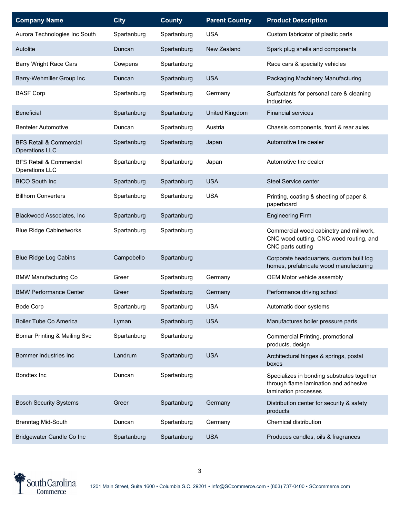| <b>Company Name</b>                                         | <b>City</b> | <b>County</b> | <b>Parent Country</b> | <b>Product Description</b>                                                                                  |
|-------------------------------------------------------------|-------------|---------------|-----------------------|-------------------------------------------------------------------------------------------------------------|
| Aurora Technologies Inc South                               | Spartanburg | Spartanburg   | <b>USA</b>            | Custom fabricator of plastic parts                                                                          |
| Autolite                                                    | Duncan      | Spartanburg   | New Zealand           | Spark plug shells and components                                                                            |
| <b>Barry Wright Race Cars</b>                               | Cowpens     | Spartanburg   |                       | Race cars & specialty vehicles                                                                              |
| Barry-Wehmiller Group Inc                                   | Duncan      | Spartanburg   | <b>USA</b>            | Packaging Machinery Manufacturing                                                                           |
| <b>BASF Corp</b>                                            | Spartanburg | Spartanburg   | Germany               | Surfactants for personal care & cleaning<br>industries                                                      |
| <b>Beneficial</b>                                           | Spartanburg | Spartanburg   | United Kingdom        | <b>Financial services</b>                                                                                   |
| <b>Benteler Automotive</b>                                  | Duncan      | Spartanburg   | Austria               | Chassis components, front & rear axles                                                                      |
| <b>BFS Retail &amp; Commercial</b><br><b>Operations LLC</b> | Spartanburg | Spartanburg   | Japan                 | Automotive tire dealer                                                                                      |
| <b>BFS Retail &amp; Commercial</b><br>Operations LLC        | Spartanburg | Spartanburg   | Japan                 | Automotive tire dealer                                                                                      |
| <b>BICO South Inc</b>                                       | Spartanburg | Spartanburg   | <b>USA</b>            | Steel Service center                                                                                        |
| <b>Billhorn Converters</b>                                  | Spartanburg | Spartanburg   | <b>USA</b>            | Printing, coating & sheeting of paper &<br>paperboard                                                       |
| Blackwood Associates, Inc.                                  | Spartanburg | Spartanburg   |                       | <b>Engineering Firm</b>                                                                                     |
| <b>Blue Ridge Cabinetworks</b>                              | Spartanburg | Spartanburg   |                       | Commercial wood cabinetry and millwork,<br>CNC wood cutting, CNC wood routing, and<br>CNC parts cutting     |
| <b>Blue Ridge Log Cabins</b>                                | Campobello  | Spartanburg   |                       | Corporate headquarters, custom built log<br>homes, prefabricate wood manufacturing                          |
| <b>BMW Manufacturing Co</b>                                 | Greer       | Spartanburg   | Germany               | OEM Motor vehicle assembly                                                                                  |
| <b>BMW Performance Center</b>                               | Greer       | Spartanburg   | Germany               | Performance driving school                                                                                  |
| <b>Bode Corp</b>                                            | Spartanburg | Spartanburg   | <b>USA</b>            | Automatic door systems                                                                                      |
| Boiler Tube Co America                                      | Lyman       | Spartanburg   | <b>USA</b>            | Manufactures boiler pressure parts                                                                          |
| Bomar Printing & Mailing Svc                                | Spartanburg | Spartanburg   |                       | Commercial Printing, promotional<br>products, design                                                        |
| Bommer Industries Inc                                       | Landrum     | Spartanburg   | <b>USA</b>            | Architectural hinges & springs, postal<br>boxes                                                             |
| Bondtex Inc                                                 | Duncan      | Spartanburg   |                       | Specializes in bonding substrates together<br>through flame lamination and adhesive<br>lamination processes |
| <b>Bosch Security Systems</b>                               | Greer       | Spartanburg   | Germany               | Distribution center for security & safety<br>products                                                       |
| <b>Brenntag Mid-South</b>                                   | Duncan      | Spartanburg   | Germany               | Chemical distribution                                                                                       |
| Bridgewater Candle Co Inc                                   | Spartanburg | Spartanburg   | <b>USA</b>            | Produces candles, oils & fragrances                                                                         |

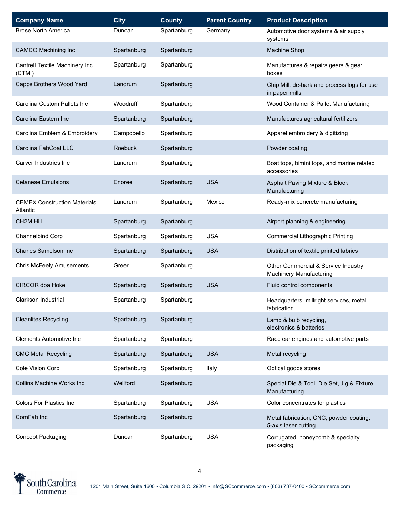| <b>Company Name</b>                             | <b>City</b> | <b>County</b> | <b>Parent Country</b> | <b>Product Description</b>                                            |
|-------------------------------------------------|-------------|---------------|-----------------------|-----------------------------------------------------------------------|
| <b>Brose North America</b>                      | Duncan      | Spartanburg   | Germany               | Automotive door systems & air supply<br>systems                       |
| <b>CAMCO Machining Inc</b>                      | Spartanburg | Spartanburg   |                       | Machine Shop                                                          |
| Cantrell Textile Machinery Inc<br>(CTMI)        | Spartanburg | Spartanburg   |                       | Manufactures & repairs gears & gear<br>boxes                          |
| Capps Brothers Wood Yard                        | Landrum     | Spartanburg   |                       | Chip Mill, de-bark and process logs for use<br>in paper mills         |
| Carolina Custom Pallets Inc                     | Woodruff    | Spartanburg   |                       | Wood Container & Pallet Manufacturing                                 |
| Carolina Eastern Inc                            | Spartanburg | Spartanburg   |                       | Manufactures agricultural fertilizers                                 |
| Carolina Emblem & Embroidery                    | Campobello  | Spartanburg   |                       | Apparel embroidery & digitizing                                       |
| Carolina FabCoat LLC                            | Roebuck     | Spartanburg   |                       | Powder coating                                                        |
| Carver Industries Inc                           | Landrum     | Spartanburg   |                       | Boat tops, bimini tops, and marine related<br>accessories             |
| <b>Celanese Emulsions</b>                       | Enoree      | Spartanburg   | <b>USA</b>            | Asphalt Paving Mixture & Block<br>Manufacturing                       |
| <b>CEMEX Construction Materials</b><br>Atlantic | Landrum     | Spartanburg   | Mexico                | Ready-mix concrete manufacturing                                      |
| <b>CH2M Hill</b>                                | Spartanburg | Spartanburg   |                       | Airport planning & engineering                                        |
| Channelbind Corp                                | Spartanburg | Spartanburg   | <b>USA</b>            | Commercial Lithographic Printing                                      |
| <b>Charles Samelson Inc</b>                     | Spartanburg | Spartanburg   | <b>USA</b>            | Distribution of textile printed fabrics                               |
| <b>Chris McFeely Amusements</b>                 | Greer       | Spartanburg   |                       | Other Commercial & Service Industry<br><b>Machinery Manufacturing</b> |
| <b>CIRCOR dba Hoke</b>                          | Spartanburg | Spartanburg   | <b>USA</b>            | Fluid control components                                              |
| Clarkson Industrial                             | Spartanburg | Spartanburg   |                       | Headquarters, millright services, metal<br>fabrication                |
| <b>Cleanlites Recycling</b>                     | Spartanburg | Spartanburg   |                       | Lamp & bulb recycling,<br>electronics & batteries                     |
| <b>Clements Automotive Inc</b>                  | Spartanburg | Spartanburg   |                       | Race car engines and automotive parts                                 |
| <b>CMC Metal Recycling</b>                      | Spartanburg | Spartanburg   | <b>USA</b>            | Metal recycling                                                       |
| Cole Vision Corp                                | Spartanburg | Spartanburg   | Italy                 | Optical goods stores                                                  |
| <b>Collins Machine Works Inc</b>                | Wellford    | Spartanburg   |                       | Special Die & Tool, Die Set, Jig & Fixture<br>Manufacturing           |
| <b>Colors For Plastics Inc.</b>                 | Spartanburg | Spartanburg   | <b>USA</b>            | Color concentrates for plastics                                       |
| ComFab Inc                                      | Spartanburg | Spartanburg   |                       | Metal fabrication, CNC, powder coating,<br>5-axis laser cutting       |
| Concept Packaging                               | Duncan      | Spartanburg   | <b>USA</b>            | Corrugated, honeycomb & specialty<br>packaging                        |

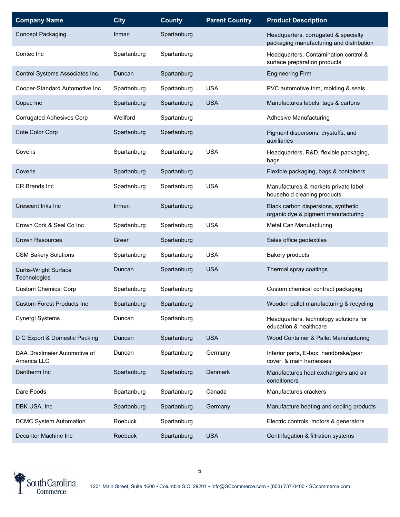| <b>Company Name</b>                          | <b>City</b> | <b>County</b> | <b>Parent Country</b> | <b>Product Description</b>                                                       |
|----------------------------------------------|-------------|---------------|-----------------------|----------------------------------------------------------------------------------|
| <b>Concept Packaging</b>                     | Inman       | Spartanburg   |                       | Headquarters, corrugated & specialty<br>packaging manufacturing and distribution |
| Contec Inc                                   | Spartanburg | Spartanburg   |                       | Headquarters, Contamination control &<br>surface preparation products            |
| Control Systems Associates Inc.              | Duncan      | Spartanburg   |                       | <b>Engineering Firm</b>                                                          |
| Cooper-Standard Automotive Inc               | Spartanburg | Spartanburg   | <b>USA</b>            | PVC automotive trim, molding & seals                                             |
| Copac Inc                                    | Spartanburg | Spartanburg   | <b>USA</b>            | Manufactures labels, tags & cartons                                              |
| Corrugated Adhesives Corp                    | Wellford    | Spartanburg   |                       | <b>Adhesive Manufacturing</b>                                                    |
| Cote Color Corp                              | Spartanburg | Spartanburg   |                       | Pigment dispersons, drystuffs, and<br>auxiliaries                                |
| Coveris                                      | Spartanburg | Spartanburg   | <b>USA</b>            | Headquarters, R&D, flexible packaging,<br>bags                                   |
| Coveris                                      | Spartanburg | Spartanburg   |                       | Flexible packaging, bags & containers                                            |
| CR Brands Inc                                | Spartanburg | Spartanburg   | <b>USA</b>            | Manufactures & markets private label<br>household cleaning products              |
| Crescent Inks Inc                            | Inman       | Spartanburg   |                       | Black carbon dispersions, synthetic<br>organic dye & pigment manufacturing       |
| Crown Cork & Seal Co Inc                     | Spartanburg | Spartanburg   | <b>USA</b>            | Metal Can Manufacturing                                                          |
| <b>Crown Resources</b>                       | Greer       | Spartanburg   |                       | Sales office geotextiles                                                         |
| <b>CSM Bakery Solutions</b>                  | Spartanburg | Spartanburg   | <b>USA</b>            | Bakery products                                                                  |
| <b>Curtis-Wright Surface</b><br>Technologies | Duncan      | Spartanburg   | <b>USA</b>            | Thermal spray coatings                                                           |
| <b>Custom Chemical Corp</b>                  | Spartanburg | Spartanburg   |                       | Custom chemical contract packaging                                               |
| <b>Custom Forest Products Inc.</b>           | Spartanburg | Spartanburg   |                       | Wooden pallet manufacturing & recycling                                          |
| Cynergi Systems                              | Duncan      | Spartanburg   |                       | Headquarters, technology solutions for<br>education & healthcare                 |
| D C Export & Domestic Packing                | Duncan      | Spartanburg   | <b>USA</b>            | Wood Container & Pallet Manufacturing                                            |
| DAA DraxImaier Automotive of<br>America LLC  | Duncan      | Spartanburg   | Germany               | Interior parts, E-box, handbrake/gear<br>cover, & main harnesses                 |
| Dantherm Inc                                 | Spartanburg | Spartanburg   | Denmark               | Manufactures heat exchangers and air<br>conditioners                             |
| Dare Foods                                   | Spartanburg | Spartanburg   | Canada                | Manufactures crackers                                                            |
| DBK USA, Inc                                 | Spartanburg | Spartanburg   | Germany               | Manufacture heating and cooling products                                         |
| <b>DCMC System Automation</b>                | Roebuck     | Spartanburg   |                       | Electric controls, motors & generators                                           |
| Decanter Machine Inc                         | Roebuck     | Spartanburg   | <b>USA</b>            | Centrifugation & filtration systems                                              |

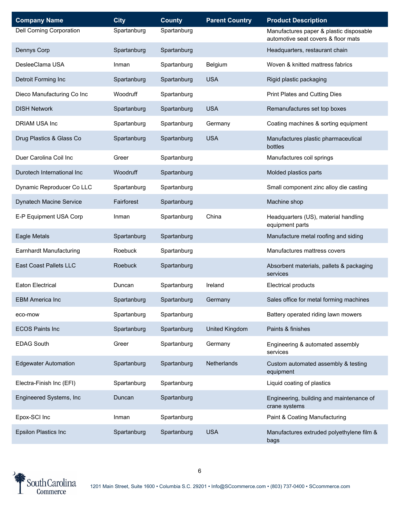| <b>Company Name</b>         | <b>City</b>    | <b>County</b> | <b>Parent Country</b> | <b>Product Description</b>                                                     |
|-----------------------------|----------------|---------------|-----------------------|--------------------------------------------------------------------------------|
| Dell Corning Corporation    | Spartanburg    | Spartanburg   |                       | Manufactures paper & plastic disposable<br>automotive seat covers & floor mats |
| Dennys Corp                 | Spartanburg    | Spartanburg   |                       | Headquarters, restaurant chain                                                 |
| DesleeClama USA             | Inman          | Spartanburg   | Belgium               | Woven & knitted mattress fabrics                                               |
| Detroit Forming Inc         | Spartanburg    | Spartanburg   | <b>USA</b>            | Rigid plastic packaging                                                        |
| Dieco Manufacturing Co Inc  | Woodruff       | Spartanburg   |                       | Print Plates and Cutting Dies                                                  |
| <b>DISH Network</b>         | Spartanburg    | Spartanburg   | <b>USA</b>            | Remanufactures set top boxes                                                   |
| <b>DRIAM USA Inc</b>        | Spartanburg    | Spartanburg   | Germany               | Coating machines & sorting equipment                                           |
| Drug Plastics & Glass Co    | Spartanburg    | Spartanburg   | <b>USA</b>            | Manufactures plastic pharmaceutical<br>bottles                                 |
| Duer Carolina Coil Inc      | Greer          | Spartanburg   |                       | Manufactures coil springs                                                      |
| Durotech International Inc  | Woodruff       | Spartanburg   |                       | Molded plastics parts                                                          |
| Dynamic Reproducer Co LLC   | Spartanburg    | Spartanburg   |                       | Small component zinc alloy die casting                                         |
| Dynatech Macine Service     | Fairforest     | Spartanburg   |                       | Machine shop                                                                   |
| E-P Equipment USA Corp      | Inman          | Spartanburg   | China                 | Headquarters (US), material handling<br>equipment parts                        |
| Eagle Metals                | Spartanburg    | Spartanburg   |                       | Manufacture metal roofing and siding                                           |
| Earnhardt Manufacturing     | Roebuck        | Spartanburg   |                       | Manufactures mattress covers                                                   |
| East Coast Pallets LLC      | <b>Roebuck</b> | Spartanburg   |                       | Absorbent materials, pallets & packaging<br>services                           |
| <b>Eaton Electrical</b>     | Duncan         | Spartanburg   | Ireland               | Electrical products                                                            |
| <b>EBM America Inc</b>      | Spartanburg    | Spartanburg   | Germany               | Sales office for metal forming machines                                        |
| eco-mow                     | Spartanburg    | Spartanburg   |                       | Battery operated riding lawn mowers                                            |
| <b>ECOS Paints Inc</b>      | Spartanburg    | Spartanburg   | <b>United Kingdom</b> | Paints & finishes                                                              |
| <b>EDAG South</b>           | Greer          | Spartanburg   | Germany               | Engineering & automated assembly<br>services                                   |
| <b>Edgewater Automation</b> | Spartanburg    | Spartanburg   | Netherlands           | Custom automated assembly & testing<br>equipment                               |
| Electra-Finish Inc (EFI)    | Spartanburg    | Spartanburg   |                       | Liquid coating of plastics                                                     |
| Engineered Systems, Inc     | Duncan         | Spartanburg   |                       | Engineering, building and maintenance of<br>crane systems                      |
| Epox-SCI Inc                | Inman          | Spartanburg   |                       | Paint & Coating Manufacturing                                                  |
| <b>Epsilon Plastics Inc</b> | Spartanburg    | Spartanburg   | <b>USA</b>            | Manufactures extruded polyethylene film &<br>bags                              |

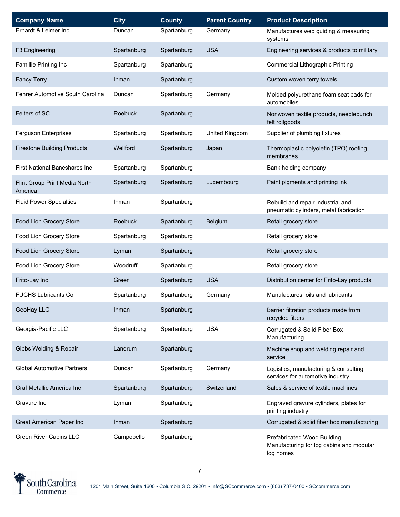| <b>Company Name</b>                      | <b>City</b> | <b>County</b> | <b>Parent Country</b> | <b>Product Description</b>                                                           |
|------------------------------------------|-------------|---------------|-----------------------|--------------------------------------------------------------------------------------|
| Erhardt & Leimer Inc                     | Duncan      | Spartanburg   | Germany               | Manufactures web guiding & measuring<br>systems                                      |
| F3 Engineering                           | Spartanburg | Spartanburg   | <b>USA</b>            | Engineering services & products to military                                          |
| Famillie Printing Inc                    | Spartanburg | Spartanburg   |                       | <b>Commercial Lithographic Printing</b>                                              |
| <b>Fancy Terry</b>                       | Inman       | Spartanburg   |                       | Custom woven terry towels                                                            |
| Fehrer Automotive South Carolina         | Duncan      | Spartanburg   | Germany               | Molded polyurethane foam seat pads for<br>automobiles                                |
| Felters of SC                            | Roebuck     | Spartanburg   |                       | Nonwoven textile products, needlepunch<br>felt rollgoods                             |
| Ferguson Enterprises                     | Spartanburg | Spartanburg   | United Kingdom        | Supplier of plumbing fixtures                                                        |
| <b>Firestone Building Products</b>       | Wellford    | Spartanburg   | Japan                 | Thermoplastic polyolefin (TPO) roofing<br>membranes                                  |
| First National Bancshares Inc            | Spartanburg | Spartanburg   |                       | Bank holding company                                                                 |
| Flint Group Print Media North<br>America | Spartanburg | Spartanburg   | Luxembourg            | Paint pigments and printing ink                                                      |
| <b>Fluid Power Specialties</b>           | Inman       | Spartanburg   |                       | Rebuild and repair industrial and<br>pneumatic cylinders, metal fabrication          |
| Food Lion Grocery Store                  | Roebuck     | Spartanburg   | Belgium               | Retail grocery store                                                                 |
| Food Lion Grocery Store                  | Spartanburg | Spartanburg   |                       | Retail grocery store                                                                 |
| Food Lion Grocery Store                  | Lyman       | Spartanburg   |                       | Retail grocery store                                                                 |
| Food Lion Grocery Store                  | Woodruff    | Spartanburg   |                       | Retail grocery store                                                                 |
| Frito-Lay Inc                            | Greer       | Spartanburg   | <b>USA</b>            | Distribution center for Frito-Lay products                                           |
| <b>FUCHS Lubricants Co</b>               | Spartanburg | Spartanburg   | Germany               | Manufactures oils and lubricants                                                     |
| GeoHay LLC                               | Inman       | Spartanburg   |                       | Barrier filtration products made from<br>recycled fibers                             |
| Georgia-Pacific LLC                      | Spartanburg | Spartanburg   | <b>USA</b>            | Corrugated & Solid Fiber Box<br>Manufacturing                                        |
| Gibbs Welding & Repair                   | Landrum     | Spartanburg   |                       | Machine shop and welding repair and<br>service                                       |
| <b>Global Automotive Partners</b>        | Duncan      | Spartanburg   | Germany               | Logistics, manufacturing & consulting<br>services for automotive industry            |
| Graf Metallic America Inc                | Spartanburg | Spartanburg   | Switzerland           | Sales & service of textile machines                                                  |
| Gravure Inc                              | Lyman       | Spartanburg   |                       | Engraved gravure cylinders, plates for<br>printing industry                          |
| Great American Paper Inc                 | Inman       | Spartanburg   |                       | Corrugated & solid fiber box manufacturing                                           |
| <b>Green River Cabins LLC</b>            | Campobello  | Spartanburg   |                       | Prefabricated Wood Building<br>Manufacturing for log cabins and modular<br>log homes |

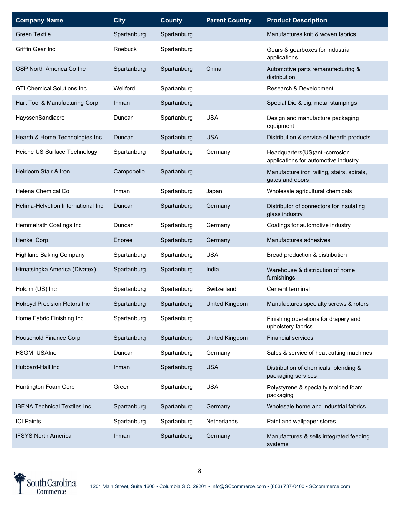| <b>Company Name</b>                 | <b>City</b> | <b>County</b> | <b>Parent Country</b> | <b>Product Description</b>                                             |
|-------------------------------------|-------------|---------------|-----------------------|------------------------------------------------------------------------|
| <b>Green Textile</b>                | Spartanburg | Spartanburg   |                       | Manufactures knit & woven fabrics                                      |
| Griffin Gear Inc                    | Roebuck     | Spartanburg   |                       | Gears & gearboxes for industrial<br>applications                       |
| <b>GSP North America Co Inc</b>     | Spartanburg | Spartanburg   | China                 | Automotive parts remanufacturing &<br>distribution                     |
| <b>GTI Chemical Solutions Inc</b>   | Wellford    | Spartanburg   |                       | Research & Development                                                 |
| Hart Tool & Manufacturing Corp      | Inman       | Spartanburg   |                       | Special Die & Jig, metal stampings                                     |
| HayssenSandiacre                    | Duncan      | Spartanburg   | <b>USA</b>            | Design and manufacture packaging<br>equipment                          |
| Hearth & Home Technologies Inc      | Duncan      | Spartanburg   | <b>USA</b>            | Distribution & service of hearth products                              |
| Heiche US Surface Technology        | Spartanburg | Spartanburg   | Germany               | Headquarters(US)anti-corrosion<br>applications for automotive industry |
| Heirloom Stair & Iron               | Campobello  | Spartanburg   |                       | Manufacture iron railing, stairs, spirals,<br>gates and doors          |
| Helena Chemical Co                  | Inman       | Spartanburg   | Japan                 | Wholesale agricultural chemicals                                       |
| Helima-Helvetion International Inc  | Duncan      | Spartanburg   | Germany               | Distributor of connectors for insulating<br>glass industry             |
| Hemmelrath Coatings Inc             | Duncan      | Spartanburg   | Germany               | Coatings for automotive industry                                       |
| <b>Henkel Corp</b>                  | Enoree      | Spartanburg   | Germany               | Manufactures adhesives                                                 |
| <b>Highland Baking Company</b>      | Spartanburg | Spartanburg   | <b>USA</b>            | Bread production & distribution                                        |
| Himatsingka America (Divatex)       | Spartanburg | Spartanburg   | India                 | Warehouse & distribution of home<br>furnishings                        |
| Holcim (US) Inc                     | Spartanburg | Spartanburg   | Switzerland           | Cement terminal                                                        |
| <b>Holroyd Precision Rotors Inc</b> | Spartanburg | Spartanburg   | <b>United Kingdom</b> | Manufactures specialty screws & rotors                                 |
| Home Fabric Finishing Inc           | Spartanburg | Spartanburg   |                       | Finishing operations for drapery and<br>upholstery fabrics             |
| Household Finance Corp              | Spartanburg | Spartanburg   | United Kingdom        | <b>Financial services</b>                                              |
| <b>HSGM USAInc</b>                  | Duncan      | Spartanburg   | Germany               | Sales & service of heat cutting machines                               |
| Hubbard-Hall Inc                    | Inman       | Spartanburg   | <b>USA</b>            | Distribution of chemicals, blending &<br>packaging services            |
| Huntington Foam Corp                | Greer       | Spartanburg   | <b>USA</b>            | Polystyrene & specialty molded foam<br>packaging                       |
| <b>IBENA Technical Textiles Inc</b> | Spartanburg | Spartanburg   | Germany               | Wholesale home and industrial fabrics                                  |
| <b>ICI Paints</b>                   | Spartanburg | Spartanburg   | Netherlands           | Paint and wallpaper stores                                             |
| <b>IFSYS North America</b>          | Inman       | Spartanburg   | Germany               | Manufactures & sells integrated feeding<br>systems                     |

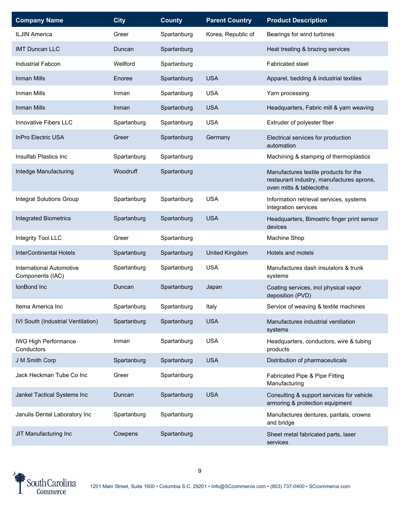| <b>Company Name</b>                                 | <b>City</b> | <b>County</b> | <b>Parent Country</b> | <b>Product Description</b>                                                                                     |
|-----------------------------------------------------|-------------|---------------|-----------------------|----------------------------------------------------------------------------------------------------------------|
| <b>ILJIN America</b>                                | Greer       | Spartanburg   | Korea, Republic of    | Bearings for wind turbines                                                                                     |
| <b>IMT Duncan LLC</b>                               | Duncan      | Spartanburg   |                       | Heat treating & brazing services                                                                               |
| <b>Industrial Fabcon</b>                            | Wellford    | Spartanburg   |                       | <b>Fabricated steel</b>                                                                                        |
| Inman Mills                                         | Enoree      | Spartanburg   | <b>USA</b>            | Apparel, bedding & industrial textiles                                                                         |
| Inman Mills                                         | Inman       | Spartanburg   | <b>USA</b>            | Yarn processing                                                                                                |
| <b>Inman Mills</b>                                  | Inman       | Spartanburg   | <b>USA</b>            | Headquarters, Fabric mill & yarn weaving                                                                       |
| Innovative Fibers LLC                               | Spartanburg | Spartanburg   | <b>USA</b>            | Extruder of polyester fiber                                                                                    |
| <b>InPro Electric USA</b>                           | Greer       | Spartanburg   | Germany               | Electrical services for production<br>automation                                                               |
| Insulfab Plastics Inc                               | Spartanburg | Spartanburg   |                       | Machining & stamping of thermoplastics                                                                         |
| Intedge Manufacturing                               | Woodruff    | Spartanburg   |                       | Manufactures textile products for the<br>restaurant industry, manufactures aprons,<br>oven mitts & tablecloths |
| <b>Integral Solutions Group</b>                     | Spartanburg | Spartanburg   | <b>USA</b>            | Information retrieval services, systems<br>integration services                                                |
| <b>Integrated Biometrics</b>                        | Spartanburg | Spartanburg   | <b>USA</b>            | Headquarters, Bimoetric finger print sensor<br>devices                                                         |
| Integrity Tool LLC                                  | Greer       | Spartanburg   |                       | Machine Shop                                                                                                   |
| <b>InterContinental Hotels</b>                      | Spartanburg | Spartanburg   | United Kingdom        | Hotels and motels                                                                                              |
| <b>International Automotive</b><br>Components (IAC) | Spartanburg | Spartanburg   | <b>USA</b>            | Manufactures dash insulators & trunk<br>systems                                                                |
| IonBond Inc                                         | Duncan      | Spartanburg   | Japan                 | Coating services, incl physical vapor<br>deposition (PVD)                                                      |
| Itema America Inc                                   | Spartanburg | Spartanburg   | Italy                 | Service of weaving & textile machines                                                                          |
| IVI South (Industrial Ventilation)                  | Spartanburg | Spartanburg   | <b>USA</b>            | Manufactures industrial ventilation<br>systems                                                                 |
| <b>IWG High Performance</b><br>Conductors           | Inman       | Spartanburg   | <b>USA</b>            | Headquarters, conductors, wire & tubing<br>products                                                            |
| J M Smith Corp                                      | Spartanburg | Spartanburg   | <b>USA</b>            | Distribution of pharmaceuticals                                                                                |
|                                                     |             |               |                       |                                                                                                                |
| Jack Heckman Tube Co Inc                            | Greer       | Spartanburg   |                       | Fabricated Pipe & Pipe Fitting<br>Manufacturing                                                                |
| Jankel Tactical Systems Inc                         | Duncan      | Spartanburg   | <b>USA</b>            | Consulting & support services for vehicle<br>armoring & protection equipment                                   |
| Janulis Dental Laboratory Inc                       | Spartanburg | Spartanburg   |                       | Manufactures dentures, paritals, crowns<br>and bridge                                                          |

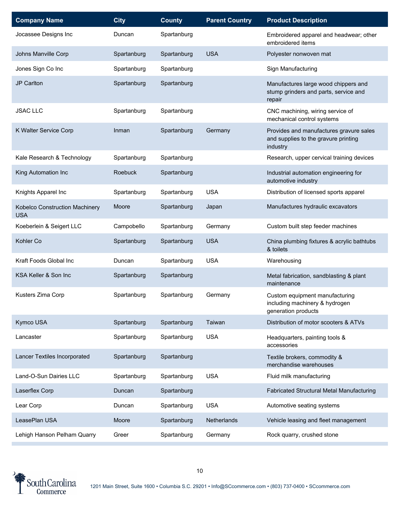| <b>Company Name</b>                          | <b>City</b>    | <b>County</b> | <b>Parent Country</b> | <b>Product Description</b>                                                                  |
|----------------------------------------------|----------------|---------------|-----------------------|---------------------------------------------------------------------------------------------|
| Jocassee Designs Inc                         | Duncan         | Spartanburg   |                       | Embroidered apparel and headwear; other<br>embroidered items                                |
| Johns Manville Corp                          | Spartanburg    | Spartanburg   | <b>USA</b>            | Polyester nonwoven mat                                                                      |
| Jones Sign Co Inc                            | Spartanburg    | Spartanburg   |                       | Sign Manufacturing                                                                          |
| JP Carlton                                   | Spartanburg    | Spartanburg   |                       | Manufactures large wood chippers and<br>stump grinders and parts, service and<br>repair     |
| <b>JSAC LLC</b>                              | Spartanburg    | Spartanburg   |                       | CNC machining, wiring service of<br>mechanical control systems                              |
| K Walter Service Corp                        | Inman          | Spartanburg   | Germany               | Provides and manufactures gravure sales<br>and supplies to the gravure printing<br>industry |
| Kale Research & Technology                   | Spartanburg    | Spartanburg   |                       | Research, upper cervical training devices                                                   |
| King Automation Inc                          | <b>Roebuck</b> | Spartanburg   |                       | Industrial automation engineering for<br>automotive industry                                |
| Knights Apparel Inc                          | Spartanburg    | Spartanburg   | <b>USA</b>            | Distribution of licensed sports apparel                                                     |
| Kobelco Construction Machinery<br><b>USA</b> | Moore          | Spartanburg   | Japan                 | Manufactures hydraulic excavators                                                           |
| Koeberlein & Seigert LLC                     | Campobello     | Spartanburg   | Germany               | Custom built step feeder machines                                                           |
| Kohler Co                                    | Spartanburg    | Spartanburg   | <b>USA</b>            | China plumbing fixtures & acrylic bathtubs<br>& toilets                                     |
| Kraft Foods Global Inc                       | Duncan         | Spartanburg   | <b>USA</b>            | Warehousing                                                                                 |
| KSA Keller & Son Inc                         | Spartanburg    | Spartanburg   |                       | Metal fabrication, sandblasting & plant<br>maintenance                                      |
| Kusters Zima Corp                            | Spartanburg    | Spartanburg   | Germany               | Custom equipment manufacturing<br>including machinery & hydrogen<br>generation products     |
| Kymco USA                                    | Spartanburg    | Spartanburg   | Taiwan                | Distribution of motor scooters & ATVs                                                       |
| Lancaster                                    | Spartanburg    | Spartanburg   | <b>USA</b>            | Headquarters, painting tools &<br>accessories                                               |
| Lancer Textiles Incorporated                 | Spartanburg    | Spartanburg   |                       | Textile brokers, commodity &<br>merchandise warehouses                                      |
| Land-O-Sun Dairies LLC                       | Spartanburg    | Spartanburg   | <b>USA</b>            | Fluid milk manufacturing                                                                    |
| Laserflex Corp                               | Duncan         | Spartanburg   |                       | Fabricated Structural Metal Manufacturing                                                   |
| Lear Corp                                    | Duncan         | Spartanburg   | <b>USA</b>            | Automotive seating systems                                                                  |
| LeasePlan USA                                | Moore          | Spartanburg   | Netherlands           | Vehicle leasing and fleet management                                                        |
| Lehigh Hanson Pelham Quarry                  | Greer          | Spartanburg   | Germany               | Rock quarry, crushed stone                                                                  |

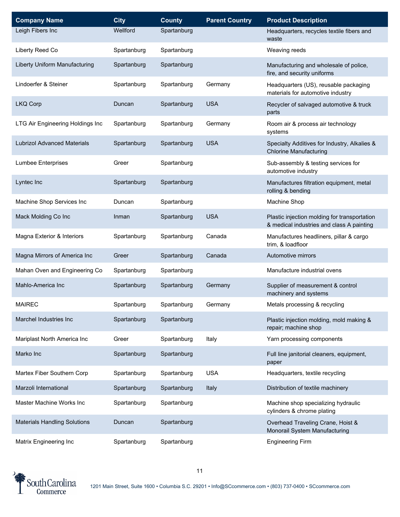| <b>Company Name</b>                 | <b>City</b> | <b>County</b> | <b>Parent Country</b> | <b>Product Description</b>                                                                |
|-------------------------------------|-------------|---------------|-----------------------|-------------------------------------------------------------------------------------------|
| Leigh Fibers Inc                    | Wellford    | Spartanburg   |                       | Headquarters, recycles textile fibers and<br>waste                                        |
| Liberty Reed Co                     | Spartanburg | Spartanburg   |                       | Weaving reeds                                                                             |
| Liberty Uniform Manufacturing       | Spartanburg | Spartanburg   |                       | Manufacturing and wholesale of police,<br>fire, and security uniforms                     |
| Lindoerfer & Steiner                | Spartanburg | Spartanburg   | Germany               | Headquarters (US), reusable packaging<br>materials for automotive industry                |
| <b>LKQ Corp</b>                     | Duncan      | Spartanburg   | <b>USA</b>            | Recycler of salvaged automotive & truck<br>parts                                          |
| LTG Air Engineering Holdings Inc    | Spartanburg | Spartanburg   | Germany               | Room air & process air technology<br>systems                                              |
| <b>Lubrizol Advanced Materials</b>  | Spartanburg | Spartanburg   | <b>USA</b>            | Specialty Additives for Industry, Alkalies &<br><b>Chlorine Manufacturing</b>             |
| <b>Lumbee Enterprises</b>           | Greer       | Spartanburg   |                       | Sub-assembly & testing services for<br>automotive industry                                |
| Lyntec Inc                          | Spartanburg | Spartanburg   |                       | Manufactures filtration equipment, metal<br>rolling & bending                             |
| Machine Shop Services Inc           | Duncan      | Spartanburg   |                       | Machine Shop                                                                              |
| Mack Molding Co Inc                 | Inman       | Spartanburg   | <b>USA</b>            | Plastic injection molding for transportation<br>& medical industries and class A painting |
| Magna Exterior & Interiors          | Spartanburg | Spartanburg   | Canada                | Manufactures headliners, pillar & cargo<br>trim, & loadfloor                              |
| Magna Mirrors of America Inc        | Greer       | Spartanburg   | Canada                | Automotive mirrors                                                                        |
| Mahan Oven and Engineering Co       | Spartanburg | Spartanburg   |                       | Manufacture industrial ovens                                                              |
| Mahlo-America Inc                   | Spartanburg | Spartanburg   | Germany               | Supplier of measurement & control<br>machinery and systems                                |
| <b>MAIREC</b>                       | Spartanburg | Spartanburg   | Germany               | Metals processing & recycling                                                             |
| Marchel Industries Inc              | Spartanburg | Spartanburg   |                       | Plastic injection molding, mold making &<br>repair; machine shop                          |
| Mariplast North America Inc         | Greer       | Spartanburg   | Italy                 | Yarn processing components                                                                |
| Marko Inc                           | Spartanburg | Spartanburg   |                       | Full line janitorial cleaners, equipment,<br>paper                                        |
| Martex Fiber Southern Corp          | Spartanburg | Spartanburg   | <b>USA</b>            | Headquarters, textile recycling                                                           |
| Marzoli International               | Spartanburg | Spartanburg   | Italy                 | Distribution of textile machinery                                                         |
| Master Machine Works Inc            | Spartanburg | Spartanburg   |                       | Machine shop specializing hydraulic<br>cylinders & chrome plating                         |
| <b>Materials Handling Solutions</b> | Duncan      | Spartanburg   |                       | Overhead Traveling Crane, Hoist &<br>Monorail System Manufacturing                        |
| Matrix Engineering Inc              | Spartanburg | Spartanburg   |                       | <b>Engineering Firm</b>                                                                   |

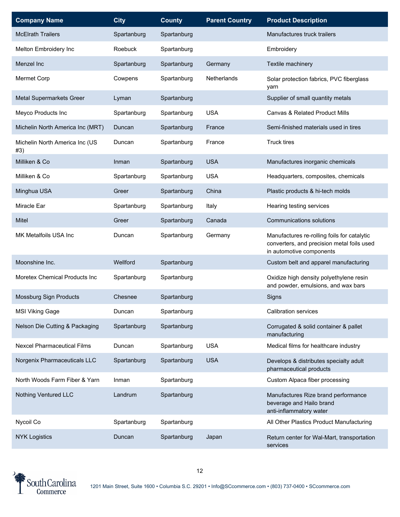| <b>Company Name</b>                   | <b>City</b> | <b>County</b> | <b>Parent Country</b> | <b>Product Description</b>                                                                                            |
|---------------------------------------|-------------|---------------|-----------------------|-----------------------------------------------------------------------------------------------------------------------|
| <b>McElrath Trailers</b>              | Spartanburg | Spartanburg   |                       | Manufactures truck trailers                                                                                           |
| Melton Embroidery Inc                 | Roebuck     | Spartanburg   |                       | Embroidery                                                                                                            |
| Menzel Inc                            | Spartanburg | Spartanburg   | Germany               | Textile machinery                                                                                                     |
| Mermet Corp                           | Cowpens     | Spartanburg   | <b>Netherlands</b>    | Solar protection fabrics, PVC fiberglass<br>yarn                                                                      |
| Metal Supermarkets Greer              | Lyman       | Spartanburg   |                       | Supplier of small quantity metals                                                                                     |
| Meyco Products Inc                    | Spartanburg | Spartanburg   | <b>USA</b>            | Canvas & Related Product Mills                                                                                        |
| Michelin North America Inc (MRT)      | Duncan      | Spartanburg   | France                | Semi-finished materials used in tires                                                                                 |
| Michelin North America Inc (US<br>#3) | Duncan      | Spartanburg   | France                | Truck tires                                                                                                           |
| Milliken & Co                         | Inman       | Spartanburg   | <b>USA</b>            | Manufactures inorganic chemicals                                                                                      |
| Milliken & Co                         | Spartanburg | Spartanburg   | <b>USA</b>            | Headquarters, composites, chemicals                                                                                   |
| Minghua USA                           | Greer       | Spartanburg   | China                 | Plastic products & hi-tech molds                                                                                      |
| Miracle Ear                           | Spartanburg | Spartanburg   | Italy                 | Hearing testing services                                                                                              |
| Mitel                                 | Greer       | Spartanburg   | Canada                | <b>Communications solutions</b>                                                                                       |
| MK Metalfoils USA Inc                 | Duncan      | Spartanburg   | Germany               | Manufactures re-rolling foils for catalytic<br>converters, and precision metal foils used<br>in automotive components |
| Moonshine Inc.                        | Wellford    | Spartanburg   |                       | Custom belt and apparel manufacturing                                                                                 |
| Moretex Chemical Products Inc         | Spartanburg | Spartanburg   |                       | Oxidize high density polyethylene resin<br>and powder, emulsions, and wax bars                                        |
| Mossburg Sign Products                | Chesnee     | Spartanburg   |                       | Signs                                                                                                                 |
| <b>MSI Viking Gage</b>                | Duncan      | Spartanburg   |                       | Calibration services                                                                                                  |
| Nelson Die Cutting & Packaging        | Spartanburg | Spartanburg   |                       | Corrugated & solid container & pallet<br>manufacturing                                                                |
| <b>Nexcel Pharmaceutical Films</b>    | Duncan      | Spartanburg   | <b>USA</b>            | Medical films for healthcare industry                                                                                 |
| Norgenix Pharmaceuticals LLC          | Spartanburg | Spartanburg   | <b>USA</b>            | Develops & distributes specialty adult<br>pharmaceutical products                                                     |
| North Woods Farm Fiber & Yarn         | Inman       | Spartanburg   |                       | Custom Alpaca fiber processing                                                                                        |
| Nothing Ventured LLC                  | Landrum     | Spartanburg   |                       | Manufactures Rize brand performance<br>beverage and Hailo brand<br>anti-inflammatory water                            |
| Nycoil Co                             | Spartanburg | Spartanburg   |                       | All Other Plastics Product Manufacturing                                                                              |
| <b>NYK Logistics</b>                  | Duncan      | Spartanburg   | Japan                 | Return center for Wal-Mart, transportation<br>services                                                                |

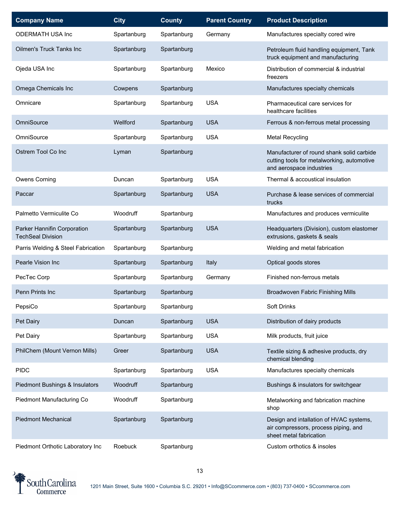| <b>Company Name</b>                                     | <b>City</b> | <b>County</b> | <b>Parent Country</b> | <b>Product Description</b>                                                                                          |
|---------------------------------------------------------|-------------|---------------|-----------------------|---------------------------------------------------------------------------------------------------------------------|
| <b>ODERMATH USA Inc</b>                                 | Spartanburg | Spartanburg   | Germany               | Manufactures specialty cored wire                                                                                   |
| Oilmen's Truck Tanks Inc                                | Spartanburg | Spartanburg   |                       | Petroleum fluid handling equipment, Tank<br>truck equipment and manufacturing                                       |
| Ojeda USA Inc                                           | Spartanburg | Spartanburg   | Mexico                | Distribution of commercial & industrial<br>freezers                                                                 |
| Omega Chemicals Inc                                     | Cowpens     | Spartanburg   |                       | Manufactures specialty chemicals                                                                                    |
| Omnicare                                                | Spartanburg | Spartanburg   | <b>USA</b>            | Pharmaceutical care services for<br>healthcare facilities                                                           |
| OmniSource                                              | Wellford    | Spartanburg   | <b>USA</b>            | Ferrous & non-ferrous metal processing                                                                              |
| OmniSource                                              | Spartanburg | Spartanburg   | <b>USA</b>            | <b>Metal Recycling</b>                                                                                              |
| Ostrem Tool Co Inc                                      | Lyman       | Spartanburg   |                       | Manufacturer of round shank solid carbide<br>cutting tools for metalworking, automotive<br>and aerospace industries |
| Owens Corning                                           | Duncan      | Spartanburg   | <b>USA</b>            | Thermal & accoustical insulation                                                                                    |
| Paccar                                                  | Spartanburg | Spartanburg   | <b>USA</b>            | Purchase & lease services of commercial<br>trucks                                                                   |
| Palmetto Vermiculite Co                                 | Woodruff    | Spartanburg   |                       | Manufactures and produces vermiculite                                                                               |
| Parker Hannifin Corporation<br><b>TechSeal Division</b> | Spartanburg | Spartanburg   | <b>USA</b>            | Headquarters (Division), custom elastomer<br>extrusions, gaskets & seals                                            |
| Parris Welding & Steel Fabrication                      | Spartanburg | Spartanburg   |                       | Welding and metal fabrication                                                                                       |
| Pearle Vision Inc                                       | Spartanburg | Spartanburg   | Italy                 | Optical goods stores                                                                                                |
| PecTec Corp                                             | Spartanburg | Spartanburg   | Germany               | Finished non-ferrous metals                                                                                         |
| Penn Prints Inc                                         | Spartanburg | Spartanburg   |                       | <b>Broadwoven Fabric Finishing Mills</b>                                                                            |
| PepsiCo                                                 | Spartanburg | Spartanburg   |                       | <b>Soft Drinks</b>                                                                                                  |
| Pet Dairy                                               | Duncan      | Spartanburg   | <b>USA</b>            | Distribution of dairy products                                                                                      |
| Pet Dairy                                               | Spartanburg | Spartanburg   | <b>USA</b>            | Milk products, fruit juice                                                                                          |
| PhilChem (Mount Vernon Mills)                           | Greer       | Spartanburg   | <b>USA</b>            | Textile sizing & adhesive products, dry<br>chemical blending                                                        |
| <b>PIDC</b>                                             | Spartanburg | Spartanburg   | <b>USA</b>            | Manufactures specialty chemicals                                                                                    |
| Piedmont Bushings & Insulators                          | Woodruff    | Spartanburg   |                       | Bushings & insulators for switchgear                                                                                |
| Piedmont Manufacturing Co                               | Woodruff    | Spartanburg   |                       | Metalworking and fabrication machine<br>shop                                                                        |
| <b>Piedmont Mechanical</b>                              | Spartanburg | Spartanburg   |                       | Design and intallation of HVAC systems,<br>air compressors, process piping, and<br>sheet metal fabrication          |
| Piedmont Orthotic Laboratory Inc                        | Roebuck     | Spartanburg   |                       | Custom orthotics & insoles                                                                                          |

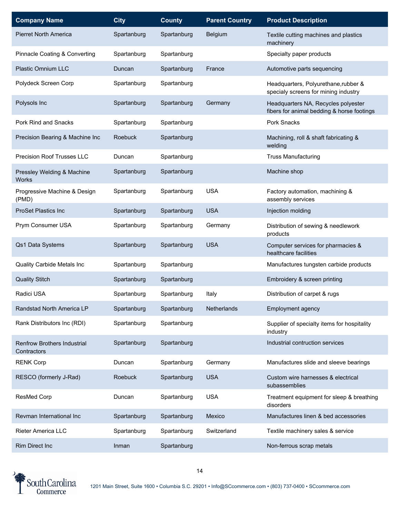| <b>Company Name</b>                               | <b>City</b> | <b>County</b> | <b>Parent Country</b> | <b>Product Description</b>                                                        |
|---------------------------------------------------|-------------|---------------|-----------------------|-----------------------------------------------------------------------------------|
| <b>Pierret North America</b>                      | Spartanburg | Spartanburg   | Belgium               | Textile cutting machines and plastics<br>machinery                                |
| Pinnacle Coating & Converting                     | Spartanburg | Spartanburg   |                       | Specialty paper products                                                          |
| Plastic Omnium LLC                                | Duncan      | Spartanburg   | France                | Automotive parts sequencing                                                       |
| Polydeck Screen Corp                              | Spartanburg | Spartanburg   |                       | Headquarters, Polyurethane, rubber &<br>specialy screens for mining industry      |
| Polysols Inc                                      | Spartanburg | Spartanburg   | Germany               | Headquarters NA, Recycles polyester<br>fibers for animal bedding & horse footings |
| Pork Rind and Snacks                              | Spartanburg | Spartanburg   |                       | Pork Snacks                                                                       |
| Precision Bearing & Machine Inc                   | Roebuck     | Spartanburg   |                       | Machining, roll & shaft fabricating &<br>welding                                  |
| Precision Roof Trusses LLC                        | Duncan      | Spartanburg   |                       | <b>Truss Manufacturing</b>                                                        |
| Pressley Welding & Machine<br><b>Works</b>        | Spartanburg | Spartanburg   |                       | Machine shop                                                                      |
| Progressive Machine & Design<br>(PMD)             | Spartanburg | Spartanburg   | <b>USA</b>            | Factory automation, machining &<br>assembly services                              |
| <b>ProSet Plastics Inc</b>                        | Spartanburg | Spartanburg   | <b>USA</b>            | Injection molding                                                                 |
| Prym Consumer USA                                 | Spartanburg | Spartanburg   | Germany               | Distribution of sewing & needlework<br>products                                   |
| Qs1 Data Systems                                  | Spartanburg | Spartanburg   | <b>USA</b>            | Computer services for pharmacies &<br>healthcare facilities                       |
| Quality Carbide Metals Inc                        | Spartanburg | Spartanburg   |                       | Manufactures tungsten carbide products                                            |
| <b>Quality Stitch</b>                             | Spartanburg | Spartanburg   |                       | Embroidery & screen printing                                                      |
| Radici USA                                        | Spartanburg | Spartanburg   | Italy                 | Distribution of carpet & rugs                                                     |
| Randstad North America LP                         | Spartanburg | Spartanburg   | Netherlands           | Employment agency                                                                 |
| Rank Distributors Inc (RDI)                       | Spartanburg | Spartanburg   |                       | Supplier of specialty items for hospitality<br>industry                           |
| <b>Renfrow Brothers Industrial</b><br>Contractors | Spartanburg | Spartanburg   |                       | Industrial contruction services                                                   |
| <b>RENK Corp</b>                                  | Duncan      | Spartanburg   | Germany               | Manufactures slide and sleeve bearings                                            |
| RESCO (formerly J-Rad)                            | Roebuck     | Spartanburg   | <b>USA</b>            | Custom wire harnesses & electrical<br>subassemblies                               |
| ResMed Corp                                       | Duncan      | Spartanburg   | <b>USA</b>            | Treatment equipment for sleep & breathing<br>disorders                            |
| Revman International Inc                          | Spartanburg | Spartanburg   | Mexico                | Manufactures linen & bed accessories                                              |
| Rieter America LLC                                | Spartanburg | Spartanburg   | Switzerland           | Textile machinery sales & service                                                 |
| Rim Direct Inc                                    | Inman       | Spartanburg   |                       | Non-ferrous scrap metals                                                          |

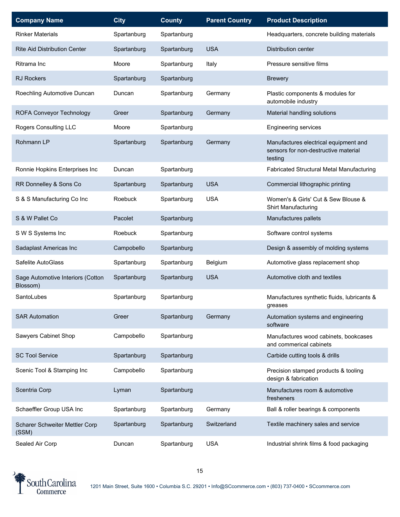| <b>Company Name</b>                           | <b>City</b> | <b>County</b> | <b>Parent Country</b> | <b>Product Description</b>                                                               |
|-----------------------------------------------|-------------|---------------|-----------------------|------------------------------------------------------------------------------------------|
| <b>Rinker Materials</b>                       | Spartanburg | Spartanburg   |                       | Headquarters, concrete building materials                                                |
| <b>Rite Aid Distribution Center</b>           | Spartanburg | Spartanburg   | <b>USA</b>            | <b>Distribution center</b>                                                               |
| Ritrama Inc                                   | Moore       | Spartanburg   | Italy                 | Pressure sensitive films                                                                 |
| <b>RJ Rockers</b>                             | Spartanburg | Spartanburg   |                       | <b>Brewery</b>                                                                           |
| Roechling Automotive Duncan                   | Duncan      | Spartanburg   | Germany               | Plastic components & modules for<br>automobile industry                                  |
| ROFA Conveyor Technology                      | Greer       | Spartanburg   | Germany               | Material handling solutions                                                              |
| Rogers Consulting LLC                         | Moore       | Spartanburg   |                       | <b>Engineering services</b>                                                              |
| Rohmann LP                                    | Spartanburg | Spartanburg   | Germany               | Manufactures electrical equipment and<br>sensors for non-destructive material<br>testing |
| Ronnie Hopkins Enterprises Inc                | Duncan      | Spartanburg   |                       | Fabricated Structural Metal Manufacturing                                                |
| RR Donnelley & Sons Co                        | Spartanburg | Spartanburg   | <b>USA</b>            | Commercial lithographic printing                                                         |
| S & S Manufacturing Co Inc                    | Roebuck     | Spartanburg   | <b>USA</b>            | Women's & Girls' Cut & Sew Blouse &<br>Shirt Manufacturing                               |
| S & W Pallet Co                               | Pacolet     | Spartanburg   |                       | Manufactures pallets                                                                     |
| S W S Systems Inc                             | Roebuck     | Spartanburg   |                       | Software control systems                                                                 |
| Sadaplast Americas Inc                        | Campobello  | Spartanburg   |                       | Design & assembly of molding systems                                                     |
| Safelite AutoGlass                            | Spartanburg | Spartanburg   | Belgium               | Automotive glass replacement shop                                                        |
| Sage Automotive Interiors (Cotton<br>Blossom) | Spartanburg | Spartanburg   | <b>USA</b>            | Automotive cloth and textiles                                                            |
| SantoLubes                                    | Spartanburg | Spartanburg   |                       | Manufactures synthetic fluids, lubricants &<br>greases                                   |
| <b>SAR Automation</b>                         | Greer       | Spartanburg   | Germany               | Automation systems and engineering<br>software                                           |
| Sawyers Cabinet Shop                          | Campobello  | Spartanburg   |                       | Manufactures wood cabinets, bookcases<br>and commerical cabinets                         |
| <b>SC Tool Service</b>                        | Spartanburg | Spartanburg   |                       | Carbide cutting tools & drills                                                           |
| Scenic Tool & Stamping Inc                    | Campobello  | Spartanburg   |                       | Precision stamped products & tooling<br>design & fabrication                             |
| Scentria Corp                                 | Lyman       | Spartanburg   |                       | Manufactures room & automotive<br>fresheners                                             |
| Schaeffler Group USA Inc                      | Spartanburg | Spartanburg   | Germany               | Ball & roller bearings & components                                                      |
| Scharer Schweiter Mettler Corp<br>(SSM)       | Spartanburg | Spartanburg   | Switzerland           | Textile machinery sales and service                                                      |
| Sealed Air Corp                               | Duncan      | Spartanburg   | <b>USA</b>            | Industrial shrink films & food packaging                                                 |

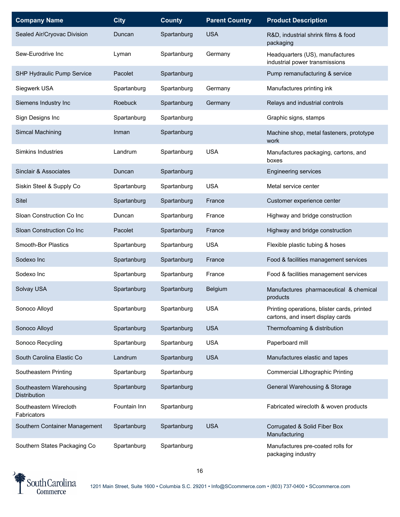| <b>Company Name</b>                             | <b>City</b>    | <b>County</b> | <b>Parent Country</b> | <b>Product Description</b>                                                       |
|-------------------------------------------------|----------------|---------------|-----------------------|----------------------------------------------------------------------------------|
| Sealed Air/Cryovac Division                     | Duncan         | Spartanburg   | <b>USA</b>            | R&D, industrial shrink films & food<br>packaging                                 |
| Sew-Eurodrive Inc                               | Lyman          | Spartanburg   | Germany               | Headquarters (US), manufactures<br>industrial power transmissions                |
| SHP Hydraulic Pump Service                      | Pacolet        | Spartanburg   |                       | Pump remanufacturing & service                                                   |
| Siegwerk USA                                    | Spartanburg    | Spartanburg   | Germany               | Manufactures printing ink                                                        |
| Siemens Industry Inc                            | <b>Roebuck</b> | Spartanburg   | Germany               | Relays and industrial controls                                                   |
| Sign Designs Inc                                | Spartanburg    | Spartanburg   |                       | Graphic signs, stamps                                                            |
| Simcal Machining                                | Inman          | Spartanburg   |                       | Machine shop, metal fasteners, prototype<br>work                                 |
| Simkins Industries                              | Landrum        | Spartanburg   | <b>USA</b>            | Manufactures packaging, cartons, and<br>boxes                                    |
| Sinclair & Associates                           | Duncan         | Spartanburg   |                       | <b>Engineering services</b>                                                      |
| Siskin Steel & Supply Co                        | Spartanburg    | Spartanburg   | <b>USA</b>            | Metal service center                                                             |
| Sitel                                           | Spartanburg    | Spartanburg   | France                | Customer experience center                                                       |
| Sloan Construction Co Inc                       | Duncan         | Spartanburg   | France                | Highway and bridge construction                                                  |
| Sloan Construction Co Inc                       | Pacolet        | Spartanburg   | France                | Highway and bridge construction                                                  |
| Smooth-Bor Plastics                             | Spartanburg    | Spartanburg   | <b>USA</b>            | Flexible plastic tubing & hoses                                                  |
| Sodexo Inc                                      | Spartanburg    | Spartanburg   | France                | Food & facilities management services                                            |
| Sodexo Inc                                      | Spartanburg    | Spartanburg   | France                | Food & facilities management services                                            |
| Solvay USA                                      | Spartanburg    | Spartanburg   | Belgium               | Manufactures pharmaceutical & chemical<br>products                               |
| Sonoco Alloyd                                   | Spartanburg    | Spartanburg   | <b>USA</b>            | Printing operations, blister cards, printed<br>cartons, and insert display cards |
| Sonoco Alloyd                                   | Spartanburg    | Spartanburg   | <b>USA</b>            | Thermofoaming & distribution                                                     |
| Sonoco Recycling                                | Spartanburg    | Spartanburg   | <b>USA</b>            | Paperboard mill                                                                  |
| South Carolina Elastic Co                       | Landrum        | Spartanburg   | <b>USA</b>            | Manufactures elastic and tapes                                                   |
| Southeastern Printing                           | Spartanburg    | Spartanburg   |                       | <b>Commercial Lithographic Printing</b>                                          |
| Southeastern Warehousing<br><b>Distribution</b> | Spartanburg    | Spartanburg   |                       | General Warehousing & Storage                                                    |
| Southeastern Wirecloth<br>Fabricators           | Fountain Inn   | Spartanburg   |                       | Fabricated wirecloth & woven products                                            |
| Southern Container Management                   | Spartanburg    | Spartanburg   | <b>USA</b>            | Corrugated & Solid Fiber Box<br>Manufacturing                                    |
| Southern States Packaging Co                    | Spartanburg    | Spartanburg   |                       | Manufactures pre-coated rolls for<br>packaging industry                          |

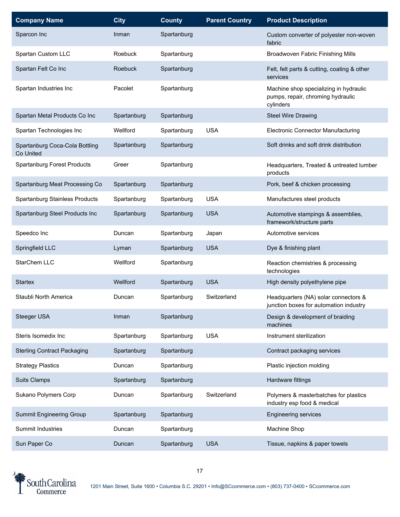| <b>Company Name</b>                         | <b>City</b> | <b>County</b> | <b>Parent Country</b> | <b>Product Description</b>                                                               |
|---------------------------------------------|-------------|---------------|-----------------------|------------------------------------------------------------------------------------------|
| Sparcon Inc                                 | Inman       | Spartanburg   |                       | Custom converter of polyester non-woven<br>fabric                                        |
| Spartan Custom LLC                          | Roebuck     | Spartanburg   |                       | Broadwoven Fabric Finishing Mills                                                        |
| Spartan Felt Co Inc                         | Roebuck     | Spartanburg   |                       | Felt, felt parts & cutting, coating & other<br>services                                  |
| Spartan Industries Inc                      | Pacolet     | Spartanburg   |                       | Machine shop specializing in hydraulic<br>pumps, repair, chroming hydraulic<br>cylinders |
| Spartan Metal Products Co Inc               | Spartanburg | Spartanburg   |                       | <b>Steel Wire Drawing</b>                                                                |
| Spartan Technologies Inc                    | Wellford    | Spartanburg   | <b>USA</b>            | Electronic Connector Manufacturing                                                       |
| Spartanburg Coca-Cola Bottling<br>Co United | Spartanburg | Spartanburg   |                       | Soft drinks and soft drink distribution                                                  |
| <b>Spartanburg Forest Products</b>          | Greer       | Spartanburg   |                       | Headquarters, Treated & untreated lumber<br>products                                     |
| Spartanburg Meat Processing Co              | Spartanburg | Spartanburg   |                       | Pork, beef & chicken processing                                                          |
| Spartanburg Stainless Products              | Spartanburg | Spartanburg   | <b>USA</b>            | Manufactures steel products                                                              |
| Spartanburg Steel Products Inc              | Spartanburg | Spartanburg   | <b>USA</b>            | Automotive stampings & assemblies,<br>framework/structure parts                          |
| Speedco Inc                                 | Duncan      | Spartanburg   | Japan                 | Automotive services                                                                      |
| Springfield LLC                             | Lyman       | Spartanburg   | <b>USA</b>            | Dye & finishing plant                                                                    |
| StarChem LLC                                | Wellford    | Spartanburg   |                       | Reaction chemistries & processing<br>technologies                                        |
| <b>Startex</b>                              | Wellford    | Spartanburg   | <b>USA</b>            | High density polyethylene pipe                                                           |
| Staubli North America                       | Duncan      | Spartanburg   | Switzerland           | Headquarters (NA) solar connectors &<br>junction boxes for automation industry           |
| Steeger USA                                 | Inman       | Spartanburg   |                       | Design & development of braiding<br>machines                                             |
| Steris Isomedix Inc                         | Spartanburg | Spartanburg   | <b>USA</b>            | Instrument sterilization                                                                 |
| <b>Sterling Contract Packaging</b>          | Spartanburg | Spartanburg   |                       | Contract packaging services                                                              |
| <b>Strategy Plastics</b>                    | Duncan      | Spartanburg   |                       | Plastic injection molding                                                                |
| <b>Suits Clamps</b>                         | Spartanburg | Spartanburg   |                       | Hardware fittings                                                                        |
| Sukano Polymers Corp                        | Duncan      | Spartanburg   | Switzerland           | Polymers & masterbatches for plastics<br>industry esp food & medical                     |
| <b>Summit Engineering Group</b>             | Spartanburg | Spartanburg   |                       | <b>Engineering services</b>                                                              |
| Summit Industries                           | Duncan      | Spartanburg   |                       | Machine Shop                                                                             |
| Sun Paper Co                                | Duncan      | Spartanburg   | <b>USA</b>            | Tissue, napkins & paper towels                                                           |

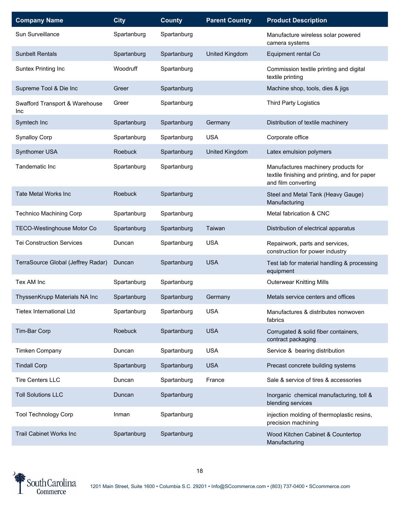| <b>Company Name</b>                   | <b>City</b>    | <b>County</b> | <b>Parent Country</b> | <b>Product Description</b>                                                                                  |
|---------------------------------------|----------------|---------------|-----------------------|-------------------------------------------------------------------------------------------------------------|
| Sun Surveillance                      | Spartanburg    | Spartanburg   |                       | Manufacture wireless solar powered<br>camera systems                                                        |
| <b>Sunbelt Rentals</b>                | Spartanburg    | Spartanburg   | United Kingdom        | Equipment rental Co                                                                                         |
| Suntex Printing Inc                   | Woodruff       | Spartanburg   |                       | Commission textile printing and digital<br>textile printing                                                 |
| Supreme Tool & Die Inc                | Greer          | Spartanburg   |                       | Machine shop, tools, dies & jigs                                                                            |
| Swafford Transport & Warehouse<br>Inc | Greer          | Spartanburg   |                       | Third Party Logistics                                                                                       |
| Symtech Inc                           | Spartanburg    | Spartanburg   | Germany               | Distribution of textile machinery                                                                           |
| <b>Synalloy Corp</b>                  | Spartanburg    | Spartanburg   | <b>USA</b>            | Corporate office                                                                                            |
| Synthomer USA                         | Roebuck        | Spartanburg   | United Kingdom        | Latex emulsion polymers                                                                                     |
| Tandematic Inc                        | Spartanburg    | Spartanburg   |                       | Manufactures machinery products for<br>textile finishing and printing, and for paper<br>and film converting |
| <b>Tate Metal Works Inc.</b>          | <b>Roebuck</b> | Spartanburg   |                       | Steel and Metal Tank (Heavy Gauge)<br>Manufacturing                                                         |
| Technico Machining Corp               | Spartanburg    | Spartanburg   |                       | Metal fabrication & CNC                                                                                     |
| <b>TECO-Westinghouse Motor Co</b>     | Spartanburg    | Spartanburg   | Taiwan                | Distribution of electrical apparatus                                                                        |
| <b>Tei Construction Services</b>      | Duncan         | Spartanburg   | <b>USA</b>            | Repairwork, parts and services,<br>construction for power industry                                          |
| TerraSource Global (Jeffrey Radar)    | Duncan         | Spartanburg   | <b>USA</b>            | Test lab for material handling & processing<br>equipment                                                    |
| Tex AM Inc                            | Spartanburg    | Spartanburg   |                       | <b>Outerwear Knitting Mills</b>                                                                             |
| ThyssenKrupp Materials NA Inc         | Spartanburg    | Spartanburg   | Germany               | Metals service centers and offices                                                                          |
| <b>Tietex International Ltd</b>       | Spartanburg    | Spartanburg   | <b>USA</b>            | Manufactures & distributes nonwoven<br>fabrics                                                              |
| Tim-Bar Corp                          | <b>Roebuck</b> | Spartanburg   | <b>USA</b>            | Corrugated & solid fiber containers,<br>contract packaging                                                  |
| <b>Timken Company</b>                 | Duncan         | Spartanburg   | <b>USA</b>            | Service & bearing distribution                                                                              |
| <b>Tindall Corp</b>                   | Spartanburg    | Spartanburg   | <b>USA</b>            | Precast concrete building systems                                                                           |
| <b>Tire Centers LLC</b>               | Duncan         | Spartanburg   | France                | Sale & service of tires & accessories                                                                       |
| <b>Toll Solutions LLC</b>             | Duncan         | Spartanburg   |                       | Inorganic chemical manufacturing, toll &<br>blending services                                               |
| <b>Tool Technology Corp</b>           | Inman          | Spartanburg   |                       | injection molding of thermoplastic resins,<br>precision machining                                           |
| <b>Trail Cabinet Works Inc</b>        | Spartanburg    | Spartanburg   |                       | Wood Kitchen Cabinet & Countertop<br>Manufacturing                                                          |

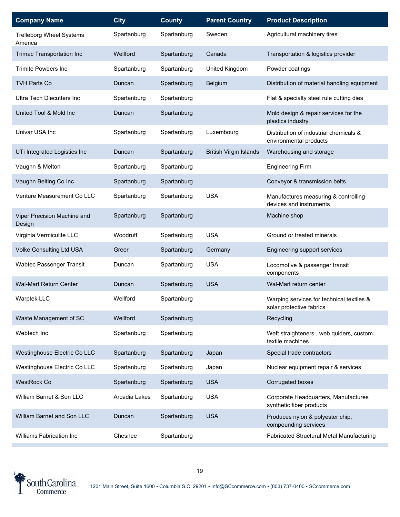| <b>Company Name</b>                        | <b>City</b>   | <b>County</b> | <b>Parent Country</b>         | <b>Product Description</b>                                            |
|--------------------------------------------|---------------|---------------|-------------------------------|-----------------------------------------------------------------------|
| <b>Trelleborg Wheel Systems</b><br>America | Spartanburg   | Spartanburg   | Sweden                        | Agricultural machinery tires                                          |
| <b>Trimac Transportation Inc</b>           | Wellford      | Spartanburg   | Canada                        | Transportation & logistics provider                                   |
| <b>Trimite Powders Inc</b>                 | Spartanburg   | Spartanburg   | United Kingdom                | Powder coatings                                                       |
| <b>TVH Parts Co</b>                        | Duncan        | Spartanburg   | Belgium                       | Distribution of material handling equipment                           |
| <b>Ultra Tech Diecutters Inc</b>           | Spartanburg   | Spartanburg   |                               | Flat & specialty steel rule cutting dies                              |
| United Tool & Mold Inc                     | Duncan        | Spartanburg   |                               | Mold design & repair services for the<br>plastics industry            |
| Univar USA Inc                             | Spartanburg   | Spartanburg   | Luxembourg                    | Distribution of industrial chemicals &<br>environmental products      |
| UTi Integrated Logistics Inc               | Duncan        | Spartanburg   | <b>British Virgin Islands</b> | Warehousing and storage                                               |
| Vaughn & Melton                            | Spartanburg   | Spartanburg   |                               | <b>Engineering Firm</b>                                               |
| Vaughn Belting Co Inc                      | Spartanburg   | Spartanburg   |                               | Conveyor & transmission belts                                         |
| Venture Measurement Co LLC                 | Spartanburg   | Spartanburg   | <b>USA</b>                    | Manufactures measuring & controlling<br>devices and instruments       |
| Viper Precision Machine and<br>Design      | Spartanburg   | Spartanburg   |                               | Machine shop                                                          |
| Virginia Vermiculite LLC                   | Woodruff      | Spartanburg   | <b>USA</b>                    | Ground or treated minerals                                            |
| Volke Consulting Ltd USA                   | Greer         | Spartanburg   | Germany                       | Engineering support services                                          |
| Wabtec Passenger Transit                   | Duncan        | Spartanburg   | <b>USA</b>                    | Locomotive & passenger transit<br>components                          |
| Wal-Mart Return Center                     | Duncan        | Spartanburg   | <b>USA</b>                    | Wal-Mart return center                                                |
| Warptek LLC                                | Wellford      | Spartanburg   |                               | Warping services for technical textiles &<br>solar protective fabrics |
| Waste Management of SC                     | Wellford      | Spartanburg   |                               | Recycling                                                             |
| Webtech Inc                                | Spartanburg   | Spartanburg   |                               | Weft straighteners, web quiders, custom<br>textile machines           |
| Westinghouse Electric Co LLC               | Spartanburg   | Spartanburg   | Japan                         | Special trade contractors                                             |
| Westinghouse Electric Co LLC               | Spartanburg   | Spartanburg   | Japan                         | Nuclear equipment repair & services                                   |
| <b>WestRock Co</b>                         | Spartanburg   | Spartanburg   | <b>USA</b>                    | Corrugated boxes                                                      |
| William Barnet & Son LLC                   | Arcadia Lakes | Spartanburg   | <b>USA</b>                    | Corporate Headquarters, Manufactures<br>synthetic fiber products      |
| William Barnet and Son LLC                 | Duncan        | Spartanburg   | <b>USA</b>                    | Produces nylon & polyester chip,<br>compounding services              |
| Williams Fabrication Inc                   | Chesnee       | Spartanburg   |                               | Fabricated Structural Metal Manufacturing                             |